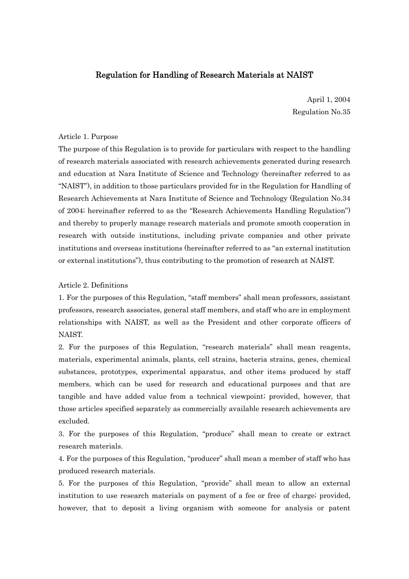# Regulation for Handling of Research Materials at NAIST

April 1, 2004 Regulation No.35

## Article 1. Purpose

The purpose of this Regulation is to provide for particulars with respect to the handling of research materials associated with research achievements generated during research and education at Nara Institute of Science and Technology (hereinafter referred to as "NAIST"), in addition to those particulars provided for in the Regulation for Handling of Research Achievements at Nara Institute of Science and Technology (Regulation No.34 of 2004; hereinafter referred to as the "Research Achievements Handling Regulation") and thereby to properly manage research materials and promote smooth cooperation in research with outside institutions, including private companies and other private institutions and overseas institutions (hereinafter referred to as "an external institution or external institutions"), thus contributing to the promotion of research at NAIST.

## Article 2. Definitions

1. For the purposes of this Regulation, "staff members" shall mean professors, assistant professors, research associates, general staff members, and staff who are in employment relationships with NAIST, as well as the President and other corporate officers of NAIST.

2. For the purposes of this Regulation, "research materials" shall mean reagents, materials, experimental animals, plants, cell strains, bacteria strains, genes, chemical substances, prototypes, experimental apparatus, and other items produced by staff members, which can be used for research and educational purposes and that are tangible and have added value from a technical viewpoint; provided, however, that those articles specified separately as commercially available research achievements are excluded.

3. For the purposes of this Regulation, "produce" shall mean to create or extract research materials.

4. For the purposes of this Regulation, "producer" shall mean a member of staff who has produced research materials.

5. For the purposes of this Regulation, "provide" shall mean to allow an external institution to use research materials on payment of a fee or free of charge; provided, however, that to deposit a living organism with someone for analysis or patent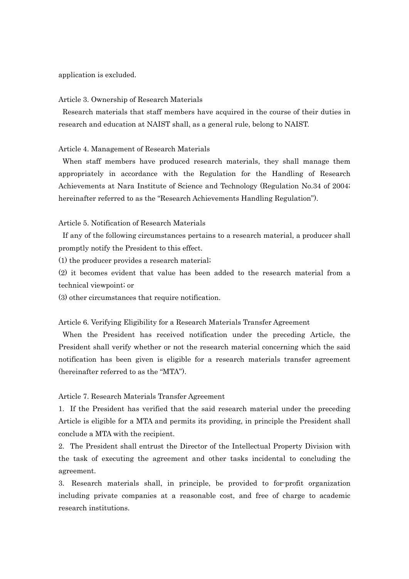#### application is excluded.

#### Article 3. Ownership of Research Materials

 Research materials that staff members have acquired in the course of their duties in research and education at NAIST shall, as a general rule, belong to NAIST.

## Article 4. Management of Research Materials

 When staff members have produced research materials, they shall manage them appropriately in accordance with the Regulation for the Handling of Research Achievements at Nara Institute of Science and Technology (Regulation No.34 of 2004; hereinafter referred to as the "Research Achievements Handling Regulation").

## Article 5. Notification of Research Materials

 If any of the following circumstances pertains to a research material, a producer shall promptly notify the President to this effect.

(1) the producer provides a research material;

(2) it becomes evident that value has been added to the research material from a technical viewpoint; or

(3) other circumstances that require notification.

### Article 6. Verifying Eligibility for a Research Materials Transfer Agreement

 When the President has received notification under the preceding Article, the President shall verify whether or not the research material concerning which the said notification has been given is eligible for a research materials transfer agreement (hereinafter referred to as the "MTA").

## Article 7. Research Materials Transfer Agreement

1. If the President has verified that the said research material under the preceding Article is eligible for a MTA and permits its providing, in principle the President shall conclude a MTA with the recipient.

2. The President shall entrust the Director of the Intellectual Property Division with the task of executing the agreement and other tasks incidental to concluding the agreement.

3. Research materials shall, in principle, be provided to for-profit organization including private companies at a reasonable cost, and free of charge to academic research institutions.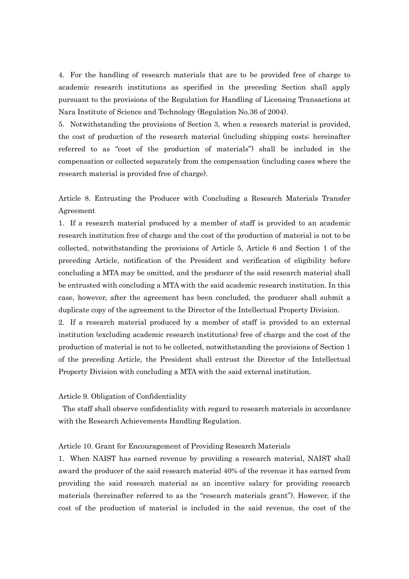4. For the handling of research materials that are to be provided free of charge to academic research institutions as specified in the preceding Section shall apply pursuant to the provisions of the Regulation for Handling of Licensing Transactions at Nara Institute of Science and Technology (Regulation No.36 of 2004).

5. Notwithstanding the provisions of Section 3, when a research material is provided, the cost of production of the research material (including shipping costs; hereinafter referred to as "cost of the production of materials") shall be included in the compensation or collected separately from the compensation (including cases where the research material is provided free of charge).

Article 8. Entrusting the Producer with Concluding a Research Materials Transfer Agreement

1. If a research material produced by a member of staff is provided to an academic research institution free of charge and the cost of the production of material is not to be collected, notwithstanding the provisions of Article 5, Article 6 and Section 1 of the preceding Article, notification of the President and verification of eligibility before concluding a MTA may be omitted, and the producer of the said research material shall be entrusted with concluding a MTA with the said academic research institution. In this case, however, after the agreement has been concluded, the producer shall submit a duplicate copy of the agreement to the Director of the Intellectual Property Division.

2. If a research material produced by a member of staff is provided to an external institution (excluding academic research institutions) free of charge and the cost of the production of material is not to be collected, notwithstanding the provisions of Section 1 of the preceding Article, the President shall entrust the Director of the Intellectual Property Division with concluding a MTA with the said external institution.

Article 9. Obligation of Confidentiality

 The staff shall observe confidentiality with regard to research materials in accordance with the Research Achievements Handling Regulation.

#### Article 10. Grant for Encouragement of Providing Research Materials

1. When NAIST has earned revenue by providing a research material, NAIST shall award the producer of the said research material 40% of the revenue it has earned from providing the said research material as an incentive salary for providing research materials (hereinafter referred to as the "research materials grant"). However, if the cost of the production of material is included in the said revenue, the cost of the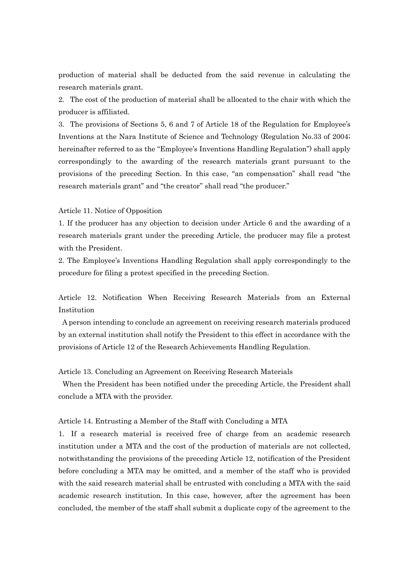production of material shall be deducted from the said revenue in calculating the research materials grant.

2. The cost of the production of material shall be allocated to the chair with which the producer is affiliated.

3. The provisions of Sections 5, 6 and 7 of Article 18 of the Regulation for Employee's Inventions at the Nara Institute of Science and Technology (Regulation No.33 of 2004; hereinafter referred to as the "Employee's Inventions Handling Regulation") shall apply correspondingly to the awarding of the research materials grant pursuant to the provisions of the preceding Section. In this case, "an compensation" shall read "the research materials grant" and "the creator" shall read "the producer."

#### Article 11. Notice of Opposition

1. If the producer has any objection to decision under Article 6 and the awarding of a research materials grant under the preceding Article, the producer may file a protest with the President.

2. The Employee's Inventions Handling Regulation shall apply correspondingly to the procedure for filing a protest specified in the preceding Section.

Article 12. Notification When Receiving Research Materials from an External Institution

 A person intending to conclude an agreement on receiving research materials produced by an external institution shall notify the President to this effect in accordance with the provisions of Article 12 of the Research Achievements Handling Regulation.

Article 13. Concluding an Agreement on Receiving Research Materials

 When the President has been notified under the preceding Article, the President shall conclude a MTA with the provider.

Article 14. Entrusting a Member of the Staff with Concluding a MTA

1. If a research material is received free of charge from an academic research institution under a MTA and the cost of the production of materials are not collected, notwithstanding the provisions of the preceding Article 12, notification of the President before concluding a MTA may be omitted, and a member of the staff who is provided with the said research material shall be entrusted with concluding a MTA with the said academic research institution. In this case, however, after the agreement has been concluded, the member of the staff shall submit a duplicate copy of the agreement to the